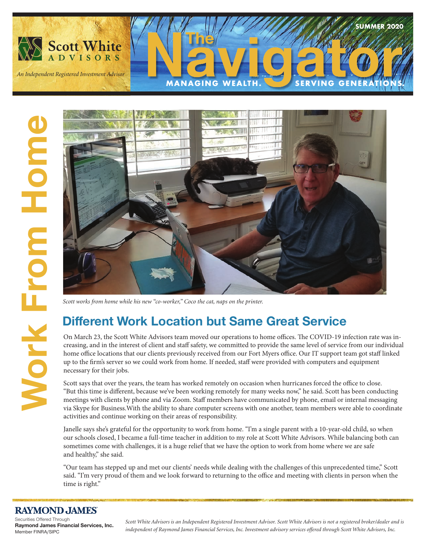



**The**

**MANAGING WEALTH.** 

**SUMMER 2020**

**SERVING GENER** 

*Scott works from home while his new "co-worker," Coco the cat, naps on the printer.* 

On March 23, the Scott White Advisors team moved our operations to home offices. The COVID-19 infection rate was increasing, and in the interest of client and staff safety, we committed to provide the same level of service from our individual home office locations that our clients previously received from our Fort Myers office. Our IT support team got staff linked up to the firm's server so we could work from home. If needed, staff were provided with computers and equipment necessary for their jobs.

Scott says that over the years, the team has worked remotely on occasion when hurricanes forced the office to close. "But this time is different, because we've been working remotely for many weeks now," he said. Scott has been conducting meetings with clients by phone and via Zoom. Staff members have communicated by phone, email or internal messaging via Skype for Business.With the ability to share computer screens with one another, team members were able to coordinate activities and continue working on their areas of responsibility.

Janelle says she's grateful for the opportunity to work from home. "I'm a single parent with a 10-year-old child, so when our schools closed, I became a full-time teacher in addition to my role at Scott White Advisors. While balancing both can sometimes come with challenges, it is a huge relief that we have the option to work from home where we are safe and healthy," she said.

"Our team has stepped up and met our clients' needs while dealing with the challenges of this unprecedented time," Scott said. "I'm very proud of them and we look forward to returning to the office and meeting with clients in person when the time is right."

## RAYMOND JAMES

Securities Offered Through **Raymond James Financial Services, Inc.**  Member FINRA/SIPC

*Scott White Advisors is an Independent Registered Investment Advisor. Scott White Advisors is not a registered broker/dealer and is independent of Raymond James Financial Services, Inc. Investment advisory services offered through Scott White Advisors, Inc.*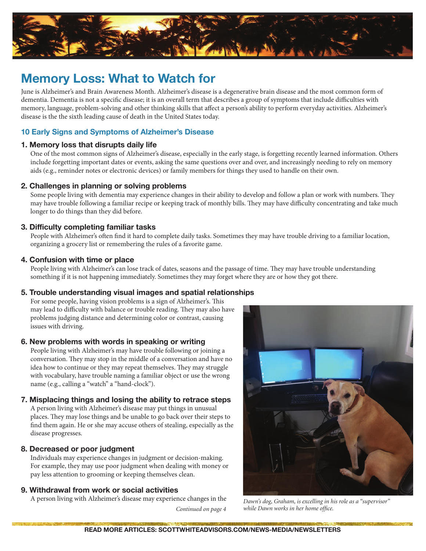

# **Memory Loss: What to Watch for**

June is Alzheimer's and Brain Awareness Month. Alzheimer's disease is a degenerative brain disease and the most common form of dementia. Dementia is not a specific disease; it is an overall term that describes a group of symptoms that include difficulties with memory, language, problem-solving and other thinking skills that affect a person's ability to perform everyday activities. Alzheimer's disease is the the sixth leading cause of death in the United States today.

### **10 Early Signs and Symptoms of Alzheimer's Disease**

#### **1. Memory loss that disrupts daily life**

One of the most common signs of Alzheimer's disease, especially in the early stage, is forgetting recently learned information. Others include forgetting important dates or events, asking the same questions over and over, and increasingly needing to rely on memory aids (e.g., reminder notes or electronic devices) or family members for things they used to handle on their own.

#### **2. Challenges in planning or solving problems**

Some people living with dementia may experience changes in their ability to develop and follow a plan or work with numbers. They may have trouble following a familiar recipe or keeping track of monthly bills. They may have difficulty concentrating and take much longer to do things than they did before.

#### **3. Difficulty completing familiar tasks**

People with Alzheimer's often find it hard to complete daily tasks. Sometimes they may have trouble driving to a familiar location, organizing a grocery list or remembering the rules of a favorite game.

#### **4. Confusion with time or place**

People living with Alzheimer's can lose track of dates, seasons and the passage of time. They may have trouble understanding something if it is not happening immediately. Sometimes they may forget where they are or how they got there.

### **5. Trouble understanding visual images and spatial relationships**

For some people, having vision problems is a sign of Alzheimer's. This may lead to difficulty with balance or trouble reading. They may also have problems judging distance and determining color or contrast, causing issues with driving.

#### **6. New problems with words in speaking or writing**

People living with Alzheimer's may have trouble following or joining a conversation. They may stop in the middle of a conversation and have no idea how to continue or they may repeat themselves. They may struggle with vocabulary, have trouble naming a familiar object or use the wrong name (e.g., calling a "watch" a "hand-clock").

### **7. Misplacing things and losing the ability to retrace steps**

A person living with Alzheimer's disease may put things in unusual places. They may lose things and be unable to go back over their steps to find them again. He or she may accuse others of stealing, especially as the disease progresses.

### **8. Decreased or poor judgment**

Individuals may experience changes in judgment or decision-making. For example, they may use poor judgment when dealing with money or pay less attention to grooming or keeping themselves clean.

### **9. Withdrawal from work or social activities**

A person living with Alzheimer's disease may experience changes in the

*Continued on page 4*



*Dawn's dog, Graham, is excelling in his role as a "supervisor" while Dawn works in her home office.*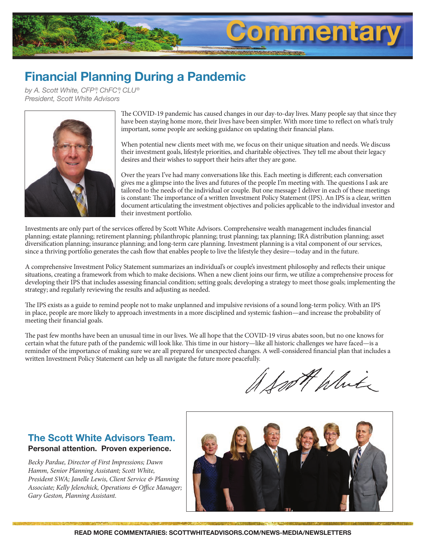

# **Financial Planning During a Pandemic**

*by A. Scott White, CFP ®, ChFC®, CLU® President, Scott White Advisors*



The COVID-19 pandemic has caused changes in our day-to-day lives. Many people say that since they have been staying home more, their lives have been simpler. With more time to reflect on what's truly important, some people are seeking guidance on updating their financial plans.

When potential new clients meet with me, we focus on their unique situation and needs. We discuss their investment goals, lifestyle priorities, and charitable objectives. They tell me about their legacy desires and their wishes to support their heirs after they are gone.

Over the years I've had many conversations like this. Each meeting is different; each conversation gives me a glimpse into the lives and futures of the people I'm meeting with. The questions I ask are tailored to the needs of the individual or couple. But one message I deliver in each of these meetings is constant: The importance of a written Investment Policy Statement (IPS). An IPS is a clear, written document articulating the investment objectives and policies applicable to the individual investor and their investment portfolio.

Investments are only part of the services offered by Scott White Advisors. Comprehensive wealth management includes financial planning; estate planning; retirement planning; philanthropic planning; trust planning; tax planning; IRA distribution planning; asset diversification planning; insurance planning; and long-term care planning. Investment planning is a vital component of our services, since a thriving portfolio generates the cash flow that enables people to live the lifestyle they desire—today and in the future.

A comprehensive Investment Policy Statement summarizes an individual's or couple's investment philosophy and reflects their unique situations, creating a framework from which to make decisions. When a new client joins our firm, we utilize a comprehensive process for developing their IPS that includes assessing financial condition; setting goals; developing a strategy to meet those goals; implementing the strategy; and regularly reviewing the results and adjusting as needed.

 e IPS exists as a guide to remind people not to make unplanned and impulsive revisions of a sound long-term policy. With an IPS in place, people are more likely to approach investments in a more disciplined and systemic fashion—and increase the probability of meeting their financial goals.

The past few months have been an unusual time in our lives. We all hope that the COVID-19 virus abates soon, but no one knows for certain what the future path of the pandemic will look like. This time in our history—like all historic challenges we have faced—is a reminder of the importance of making sure we are all prepared for unexpected changes. A well-considered financial plan that includes a written Investment Policy Statement can help us all navigate the future more peacefully.

Anot White

### **The Scott White Advisors Team. Personal attention. Proven experience.**

*Becky Pardue, Director of First Impressions; Dawn Hamm, Senior Planning Assistant; Scott White, President SWA; Janelle Lewis, Client Service & Planning*  Associate; Kelly Jelenchick, Operations & Office Manager;  $G$ ary Geston, Planning Assistant.